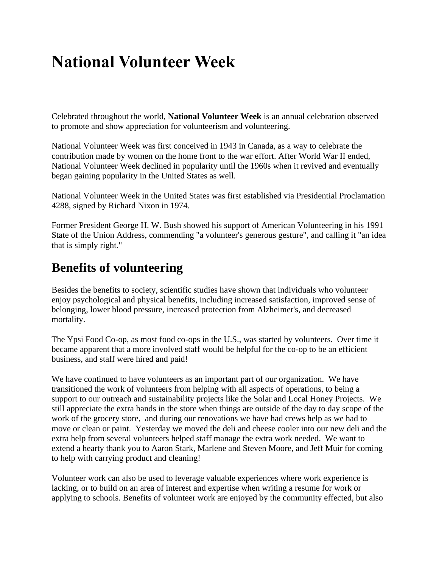## **National Volunteer Week**

Celebrated throughout the world, **National Volunteer Week** is an annual celebration observed to promote and show appreciation for [volunteerism](https://en.wikipedia.org/wiki/Volunteering) and volunteering.

National Volunteer Week was first conceived in 1943 in Canada, as a way to celebrate the contribution made by women on the home front to the war effort. After World War II ended, National Volunteer Week declined in popularity until the 1960s when it revived and eventually began gaining popularity in the United States as well.

National Volunteer Week in the United States was first established via Presidential Proclamation 4288, signed by Richard Nixon in 1974.

Former President George H. W. Bush showed his support of American Volunteering in his [1991](https://en.wikipedia.org/wiki/1991_State_of_the_Union_Address)  [State of the Union Address,](https://en.wikipedia.org/wiki/1991_State_of_the_Union_Address) commending "a volunteer's generous gesture", and calling it "an idea that is simply right."

## **Benefits of volunteering**

Besides the benefits to society, scientific studies have shown that individuals who volunteer enjoy psychological and physical benefits, including increased satisfaction, improved sense of belonging, lower blood pressure, increased protection from Alzheimer's, and decreased mortality.

The Ypsi Food Co-op, as most food co-ops in the U.S., was started by volunteers. Over time it became apparent that a more involved staff would be helpful for the co-op to be an efficient business, and staff were hired and paid!

We have continued to have volunteers as an important part of our organization. We have transitioned the work of volunteers from helping with all aspects of operations, to being a support to our outreach and sustainability projects like the Solar and Local Honey Projects. We still appreciate the extra hands in the store when things are outside of the day to day scope of the work of the grocery store, and during our renovations we have had crews help as we had to move or clean or paint. Yesterday we moved the deli and cheese cooler into our new deli and the extra help from several volunteers helped staff manage the extra work needed. We want to extend a hearty thank you to Aaron Stark, Marlene and Steven Moore, and Jeff Muir for coming to help with carrying product and cleaning!

Volunteer work can also be used to leverage valuable experiences where work experience is lacking, or to build on an area of interest and expertise when writing a resume for work or applying to schools. Benefits of volunteer work are enjoyed by the community effected, but also